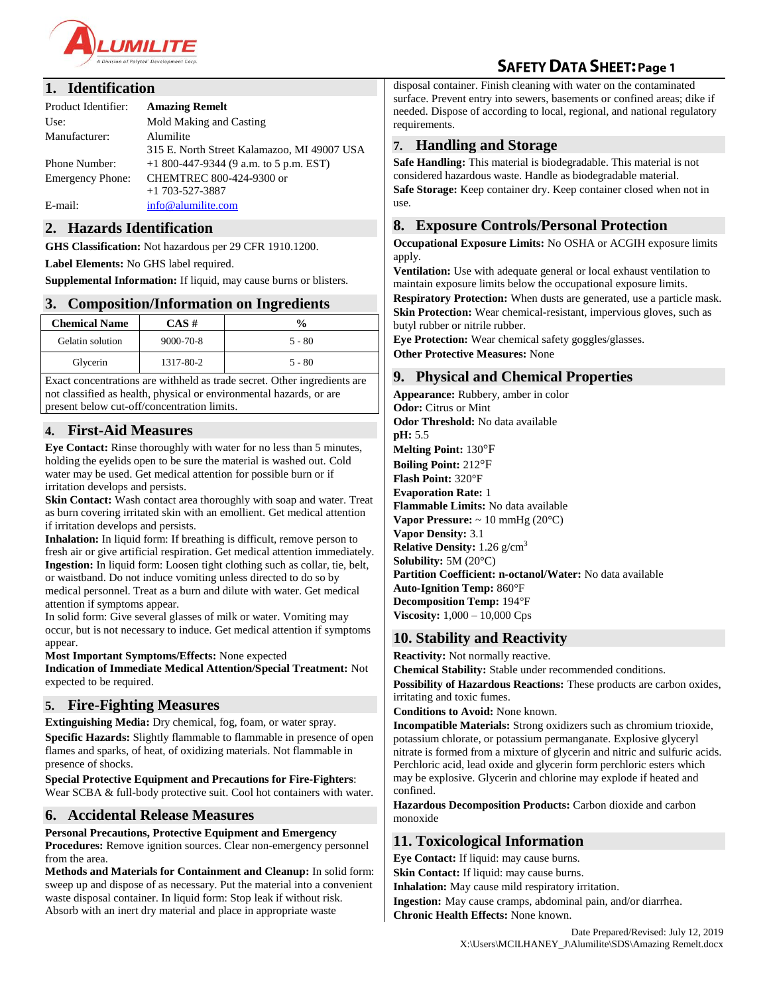

# **SAFETY DATA SHEET: Page 1**

#### **1. Identification**

| Product Identifier:                      | <b>Amazing Remelt</b>                                                                    |  |
|------------------------------------------|------------------------------------------------------------------------------------------|--|
| Use:                                     | Mold Making and Casting                                                                  |  |
| Manufacturer:                            | Alumilite<br>315 E. North Street Kalamazoo, MI 49007 USA                                 |  |
| Phone Number:<br><b>Emergency Phone:</b> | $+1800-447-9344$ (9 a.m. to 5 p.m. EST)<br>CHEMTREC 800-424-9300 or<br>$+1$ 703-527-3887 |  |
| E-mail:                                  | info@alumilite.com                                                                       |  |

# **2. Hazards Identification**

**GHS Classification:** Not hazardous per 29 CFR 1910.1200.

**Label Elements:** No GHS label required.

**Supplemental Information:** If liquid, may cause burns or blisters.

### **3. Composition/Information on Ingredients**

| <b>Chemical Name</b> | CAS #           | $\frac{6}{6}$ |
|----------------------|-----------------|---------------|
| Gelatin solution     | $9000 - 70 - 8$ | $5 - 80$      |
| Glycerin             | 1317-80-2       | $5 - 80$      |

Exact concentrations are withheld as trade secret. Other ingredients are not classified as health, physical or environmental hazards, or are present below cut-off/concentration limits.

# **4. First-Aid Measures**

**Eye Contact:** Rinse thoroughly with water for no less than 5 minutes, holding the eyelids open to be sure the material is washed out. Cold water may be used. Get medical attention for possible burn or if irritation develops and persists.

**Skin Contact:** Wash contact area thoroughly with soap and water. Treat as burn covering irritated skin with an emollient. Get medical attention if irritation develops and persists.

**Inhalation:** In liquid form: If breathing is difficult, remove person to fresh air or give artificial respiration. Get medical attention immediately. **Ingestion:** In liquid form: Loosen tight clothing such as collar, tie, belt, or waistband. Do not induce vomiting unless directed to do so by medical personnel. Treat as a burn and dilute with water. Get medical attention if symptoms appear.

In solid form: Give several glasses of milk or water. Vomiting may occur, but is not necessary to induce. Get medical attention if symptoms appear.

**Most Important Symptoms/Effects:** None expected

**Indication of Immediate Medical Attention/Special Treatment:** Not expected to be required.

#### **5. Fire-Fighting Measures**

**Extinguishing Media:** Dry chemical, fog, foam, or water spray. **Specific Hazards:** Slightly flammable to flammable in presence of open flames and sparks, of heat, of oxidizing materials. Not flammable in presence of shocks.

**Special Protective Equipment and Precautions for Fire-Fighters**: Wear SCBA & full-body protective suit. Cool hot containers with water.

# **6. Accidental Release Measures**

#### **Personal Precautions, Protective Equipment and Emergency**

**Procedures:** Remove ignition sources. Clear non-emergency personnel from the area.

**Methods and Materials for Containment and Cleanup:** In solid form: sweep up and dispose of as necessary. Put the material into a convenient waste disposal container. In liquid form: Stop leak if without risk. Absorb with an inert dry material and place in appropriate waste

disposal container. Finish cleaning with water on the contaminated surface. Prevent entry into sewers, basements or confined areas; dike if needed. Dispose of according to local, regional, and national regulatory requirements.

### **7. Handling and Storage**

**Safe Handling:** This material is biodegradable. This material is not considered hazardous waste. Handle as biodegradable material. **Safe Storage:** Keep container dry. Keep container closed when not in use.

### **8. Exposure Controls/Personal Protection**

**Occupational Exposure Limits:** No OSHA or ACGIH exposure limits apply.

**Ventilation:** Use with adequate general or local exhaust ventilation to maintain exposure limits below the occupational exposure limits.

**Respiratory Protection:** When dusts are generated, use a particle mask. **Skin Protection:** Wear chemical-resistant, impervious gloves, such as butyl rubber or nitrile rubber.

**Eye Protection:** Wear chemical safety goggles/glasses. **Other Protective Measures:** None

# **9. Physical and Chemical Properties**

**Appearance:** Rubbery, amber in color **Odor:** Citrus or Mint **Odor Threshold:** No data available **pH:** 5.5 **Melting Point:** 130°F **Boiling Point:** 212°F **Flash Point:** 320°F **Evaporation Rate:** 1 **Flammable Limits:** No data available **Vapor Pressure:**  $\sim 10 \text{ mmHg} (20^{\circ} \text{C})$ **Vapor Density:** 3.1 **Relative Density:** 1.26 g/cm<sup>3</sup> **Solubility:** 5M (20°C) **Partition Coefficient: n-octanol/Water:** No data available **Auto-Ignition Temp:** 860°F **Decomposition Temp:** 194°F **Viscosity:** 1,000 – 10,000 Cps

# **10. Stability and Reactivity**

**Reactivity:** Not normally reactive.

**Chemical Stability:** Stable under recommended conditions.

**Possibility of Hazardous Reactions:** These products are carbon oxides, irritating and toxic fumes.

**Conditions to Avoid:** None known.

**Incompatible Materials:** Strong oxidizers such as chromium trioxide, potassium chlorate, or potassium permanganate. Explosive glyceryl nitrate is formed from a mixture of glycerin and nitric and sulfuric acids. Perchloric acid, lead oxide and glycerin form perchloric esters which may be explosive. Glycerin and chlorine may explode if heated and confined.

**Hazardous Decomposition Products:** Carbon dioxide and carbon monoxide

# **11. Toxicological Information**

**Eye Contact:** If liquid: may cause burns. **Skin Contact:** If liquid: may cause burns.

**Inhalation:** May cause mild respiratory irritation.

**Ingestion:** May cause cramps, abdominal pain, and/or diarrhea. **Chronic Health Effects:** None known.